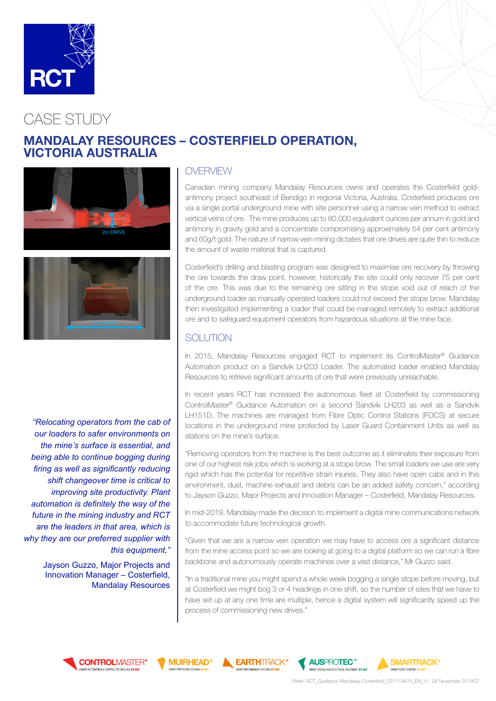

# CASE STUDY

# MANDALAY RESOURCES – COSTERFIELD OPERATION, VICTORIA AUSTRALIA





*"Relocating operators from the cab of our loaders to safer environments on the mine's surface is essential, and being able to continue bogging during firing as well as significantly reducing shift changeover time is critical to improving site productivity. Plant automation is definitely the way of the future in the mining industry and RCT are the leaders in that area, which is why they are our preferred supplier with this equipment,"*

> Jayson Guzzo, Major Projects and Innovation Manager – Costerfield, Mandalay Resources

#### OVERVIEW

Canadian mining company Mandalay Resources owns and operates the Costerfield goldantimony project southeast of Bendigo in regional Victoria, Australia. Costerfield produces ore via a single portal underground mine with site personnel using a narrow vein method to extract vertical veins of ore. The mine produces up to 80,000 equivalent ounces per annum in gold and antimony in gravity gold and a concentrate compromising approximately 54 per cent antimony and 60g/t gold. The nature of narrow vein mining dictates that ore drives are quite thin to reduce the amount of waste material that is captured.

Costerfield's drilling and blasting program was designed to maximise ore recovery by throwing the ore towards the draw point, however, historically the site could only recover 75 per cent of the ore. This was due to the remaining ore sitting in the stope void out of reach of the underground loader as manually operated loaders could not exceed the stope brow. Mandalay then investigated implementing a loader that could be managed remotely to extract additional ore and to safeguard equipment operators from hazardous situations at the mine face.

# **SOLUTION**

In 2015, Mandalay Resources engaged RCT to implement its ControlMaster® Guidance Automation product on a Sandvik LH203 Loader. The automated loader enabled Mandalay Resources to retrieve significant amounts of ore that were previously unreachable.

In recent years RCT has increased the autonomous fleet at Costerfield by commissioning ControlMaster® Guidance Automation on a second Sandvik LH203 as well as a Sandvik LH151D. The machines are managed from Fibre Optic Control Stations (FOCS) at secure locations in the underground mine protected by Laser Guard Containment Units as well as stations on the mine's surface.

"Removing operators from the machine is the best outcome as it eliminates their exposure from one of our highest risk jobs which is working at a stope brow. The small loaders we use are very rigid which has the potential for repetitive strain injuries. They also have open cabs and in this environment, dust, machine exhaust and debris can be an added safety concern," according to Jayson Guzzo, Major Projects and Innovation Manager – Costerfield, Mandalay Resources.

In mid-2019, Mandalay made the decision to implement a digital mine communications network to accommodate future technological growth.

"Given that we are a narrow vein operation we may have to access ore a significant distance from the mine access point so we are looking at going to a digital platform so we can run a fibre backbone and autonomously operate machines over a vast distance," Mr Guzzo said.

"In a traditional mine you might spend a whole week bogging a single stope before moving, but at Costerfield we might bog 3 or 4 headings in one shift, so the number of sites that we have to have set up at any one time are multiple, hence a digital system will significantly speed up the process of commissioning new drives."